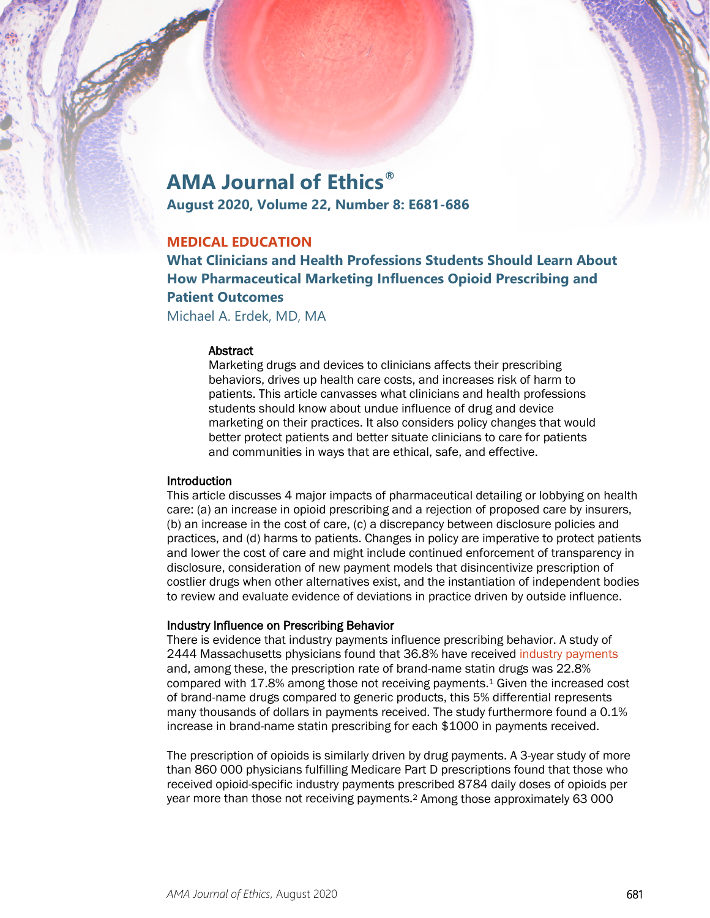# **AMA Journal of Ethics®**

**August 2020, Volume 22, Number 8: E681-686**

# **MEDICAL EDUCATION**

**What Clinicians and Health Professions Students Should Learn About How Pharmaceutical Marketing Influences Opioid Prescribing and Patient Outcomes**

Michael A. Erdek, MD, MA

#### Abstract

Marketing drugs and devices to clinicians affects their prescribing behaviors, drives up health care costs, and increases risk of harm to patients. This article canvasses what clinicians and health professions students should know about undue influence of drug and device marketing on their practices. It also considers policy changes that would better protect patients and better situate clinicians to care for patients and communities in ways that are ethical, safe, and effective.

## **Introduction**

This article discusses 4 major impacts of pharmaceutical detailing or lobbying on health care: (a) an increase in opioid prescribing and a rejection of proposed care by insurers, (b) an increase in the cost of care, (c) a discrepancy between disclosure policies and practices, and (d) harms to patients. Changes in policy are imperative to protect patients and lower the cost of care and might include continued enforcement of transparency in disclosure, consideration of new payment models that disincentivize prescription of costlier drugs when other alternatives exist, and the instantiation of independent bodies to review and evaluate evidence of deviations in practice driven by outside influence.

## Industry Influence on Prescribing Behavior

There is evidence that industry payments influence prescribing behavior. A study of 2444 Massachusetts physicians found that 36.8% have received [industry payments](https://journalofethics.ama-assn.org/article/mixing-dinner-and-drugs-it-ethically-contraindicated/2015-08) and, among these, the prescription rate of brand-name statin drugs was 22.8% compared with 17.8% among those not receiving payments.1 Given the increased cost of brand-name drugs compared to generic products, this 5% differential represents many thousands of dollars in payments received. The study furthermore found a 0.1% increase in brand-name statin prescribing for each \$1000 in payments received.

The prescription of opioids is similarly driven by drug payments. A 3-year study of more than 860 000 physicians fulfilling Medicare Part D prescriptions found that those who received opioid-specific industry payments prescribed 8784 daily doses of opioids per year more than those not receiving payments.2 Among those approximately 63 000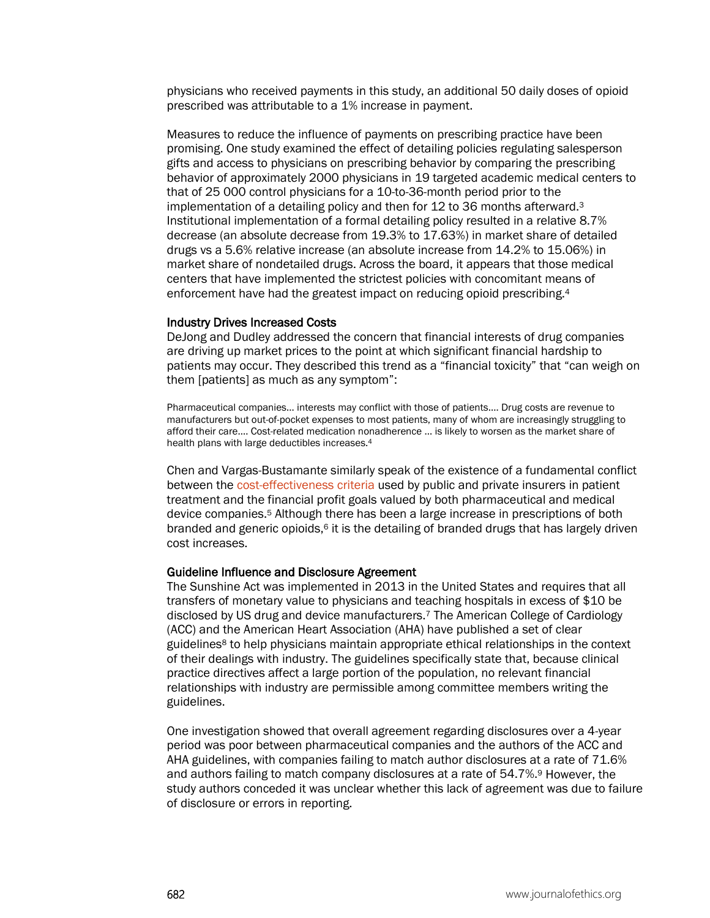physicians who received payments in this study, an additional 50 daily doses of opioid prescribed was attributable to a 1% increase in payment.

Measures to reduce the influence of payments on prescribing practice have been promising. One study examined the effect of detailing policies regulating salesperson gifts and access to physicians on prescribing behavior by comparing the prescribing behavior of approximately 2000 physicians in 19 targeted academic medical centers to that of 25 000 control physicians for a 10-to-36-month period prior to the implementation of a detailing policy and then for 12 to 36 months afterward.3 Institutional implementation of a formal detailing policy resulted in a relative 8.7% decrease (an absolute decrease from 19.3% to 17.63%) in market share of detailed drugs vs a 5.6% relative increase (an absolute increase from 14.2% to 15.06%) in market share of nondetailed drugs. Across the board, it appears that those medical centers that have implemented the strictest policies with concomitant means of enforcement have had the greatest impact on reducing opioid prescribing.4

#### Industry Drives Increased Costs

DeJong and Dudley addressed the concern that financial interests of drug companies are driving up market prices to the point at which significant financial hardship to patients may occur. They described this trend as a "financial toxicity" that "can weigh on them [patients] as much as any symptom":

Pharmaceutical companies… interests may conflict with those of patients.… Drug costs are revenue to manufacturers but out-of-pocket expenses to most patients, many of whom are increasingly struggling to afford their care.… Cost-related medication nonadherence … is likely to worsen as the market share of health plans with large deductibles increases.4

Chen and Vargas-Bustamante similarly speak of the existence of a fundamental conflict between the [cost-effectiveness criteria](https://journalofethics.ama-assn.org/article/does-incorporating-cost-effectiveness-analysis-prescribing-decisions-promote-drug-access-equity/2019-08) used by public and private insurers in patient treatment and the financial profit goals valued by both pharmaceutical and medical device companies.5 Although there has been a large increase in prescriptions of both branded and generic opioids, $6$  it is the detailing of branded drugs that has largely driven cost increases.

#### Guideline Influence and Disclosure Agreement

The Sunshine Act was implemented in 2013 in the United States and requires that all transfers of monetary value to physicians and teaching hospitals in excess of \$10 be disclosed by US drug and device manufacturers.7 The American College of Cardiology (ACC) and the American Heart Association (AHA) have published a set of clear guidelines8 to help physicians maintain appropriate ethical relationships in the context of their dealings with industry. The guidelines specifically state that, because clinical practice directives affect a large portion of the population, no relevant financial relationships with industry are permissible among committee members writing the guidelines.

One investigation showed that overall agreement regarding disclosures over a 4-year period was poor between pharmaceutical companies and the authors of the ACC and AHA guidelines, with companies failing to match author disclosures at a rate of 71.6% and authors failing to match company disclosures at a rate of 54.7%.9 However, the study authors conceded it was unclear whether this lack of agreement was due to failure of disclosure or errors in reporting.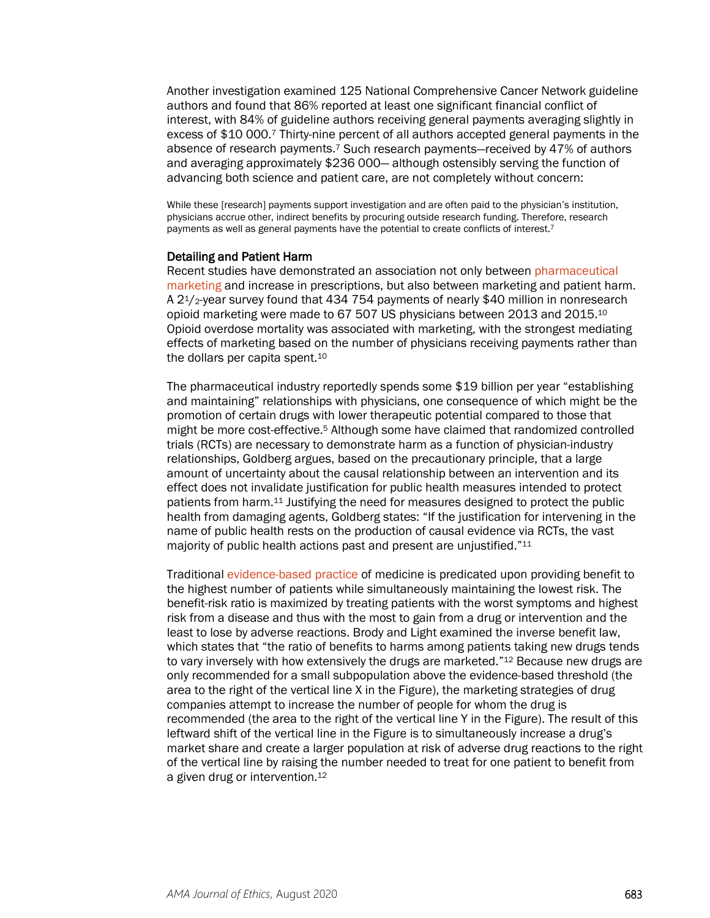Another investigation examined 125 National Comprehensive Cancer Network guideline authors and found that 86% reported at least one significant financial conflict of interest, with 84% of guideline authors receiving general payments averaging slightly in excess of \$10 000.7 Thirty-nine percent of all authors accepted general payments in the absence of research payments.7 Such research payments—received by 47% of authors and averaging approximately \$236 000— although ostensibly serving the function of advancing both science and patient care, are not completely without concern:

While these [research] payments support investigation and are often paid to the physician's institution, physicians accrue other, indirect benefits by procuring outside research funding. Therefore, research payments as well as general payments have the potential to create conflicts of interest.<sup>7</sup>

#### Detailing and Patient Harm

Recent studies have demonstrated an association not only between [pharmaceutical](https://journalofethics.ama-assn.org/article/how-fda-failures-contributed-opioid-crisis/2020-08)  [marketing](https://journalofethics.ama-assn.org/article/how-fda-failures-contributed-opioid-crisis/2020-08) and increase in prescriptions, but also between marketing and patient harm. A 21/2-year survey found that 434 754 payments of nearly \$40 million in nonresearch opioid marketing were made to 67 507 US physicians between 2013 and 2015.10 Opioid overdose mortality was associated with marketing, with the strongest mediating effects of marketing based on the number of physicians receiving payments rather than the dollars per capita spent.10

The pharmaceutical industry reportedly spends some \$19 billion per year "establishing and maintaining" relationships with physicians, one consequence of which might be the promotion of certain drugs with lower therapeutic potential compared to those that might be more cost-effective.5 Although some have claimed that randomized controlled trials (RCTs) are necessary to demonstrate harm as a function of physician-industry relationships, Goldberg argues, based on the precautionary principle, that a large amount of uncertainty about the causal relationship between an intervention and its effect does not invalidate justification for public health measures intended to protect patients from harm.11 Justifying the need for measures designed to protect the public health from damaging agents, Goldberg states: "If the justification for intervening in the name of public health rests on the production of causal evidence via RCTs, the vast majority of public health actions past and present are unjustified."11

Traditional [evidence-based practice](https://journalofethics.ama-assn.org/article/evidence-based-medicine-short-history-modern-medical-movement/2013-01) of medicine is predicated upon providing benefit to the highest number of patients while simultaneously maintaining the lowest risk. The benefit-risk ratio is maximized by treating patients with the worst symptoms and highest risk from a disease and thus with the most to gain from a drug or intervention and the least to lose by adverse reactions. Brody and Light examined the inverse benefit law, which states that "the ratio of benefits to harms among patients taking new drugs tends to vary inversely with how extensively the drugs are marketed."<sup>12</sup> Because new drugs are only recommended for a small subpopulation above the evidence-based threshold (the area to the right of the vertical line X in the Figure), the marketing strategies of drug companies attempt to increase the number of people for whom the drug is recommended (the area to the right of the vertical line Y in the Figure). The result of this leftward shift of the vertical line in the Figure is to simultaneously increase a drug's market share and create a larger population at risk of adverse drug reactions to the right of the vertical line by raising the number needed to treat for one patient to benefit from a given drug or intervention.12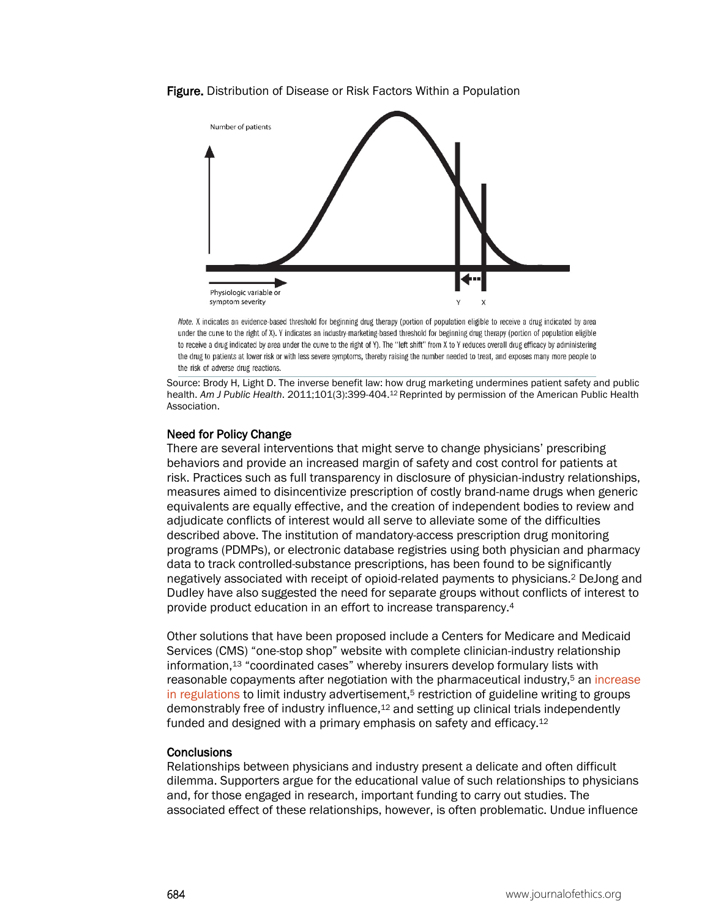#### Figure. Distribution of Disease or Risk Factors Within a Population



Note. X indicates an evidence-based threshold for beginning drug therapy (portion of population eligible to receive a drug indicated by area under the curve to the right of X). Y indicates an industry-marketing-based threshold for beginning drug therapy (portion of population eligible to receive a drug indicated by area under the curve to the right of Y). The "left shift" from X to Y reduces overall drug efficacy by administering the drug to patients at lower risk or with less severe symptoms, thereby raising the number needed to treat, and exposes many more people to the risk of adverse drug reactions.

Source: Brody H, Light D. The inverse benefit law: how drug marketing undermines patient safety and public health. *Am J Public Health*. 2011;101(3):399-404.12 Reprinted by permission of the American Public Health Association.

#### Need for Policy Change

There are several interventions that might serve to change physicians' prescribing behaviors and provide an increased margin of safety and cost control for patients at risk. Practices such as full transparency in disclosure of physician-industry relationships, measures aimed to disincentivize prescription of costly brand-name drugs when generic equivalents are equally effective, and the creation of independent bodies to review and adjudicate conflicts of interest would all serve to alleviate some of the difficulties described above. The institution of mandatory-access prescription drug monitoring programs (PDMPs), or electronic database registries using both physician and pharmacy data to track controlled-substance prescriptions, has been found to be significantly negatively associated with receipt of opioid-related payments to physicians.2 DeJong and Dudley have also suggested the need for separate groups without conflicts of interest to provide product education in an effort to increase transparency.4

Other solutions that have been proposed include a Centers for Medicare and Medicaid Services (CMS) "one-stop shop" website with complete clinician-industry relationship information,13 "coordinated cases" whereby insurers develop formulary lists with reasonable copayments after negotiation with the pharmaceutical industry,<sup>5</sup> an increase [in regulations](https://journalofethics.ama-assn.org/article/fighting-prescription-drug-abuse-federal-and-state-law/2013-05) to limit industry advertisement,<sup>5</sup> restriction of guideline writing to groups demonstrably free of industry influence,12 and setting up clinical trials independently funded and designed with a primary emphasis on safety and efficacy.12

#### **Conclusions**

Relationships between physicians and industry present a delicate and often difficult dilemma. Supporters argue for the educational value of such relationships to physicians and, for those engaged in research, important funding to carry out studies. The associated effect of these relationships, however, is often problematic. Undue influence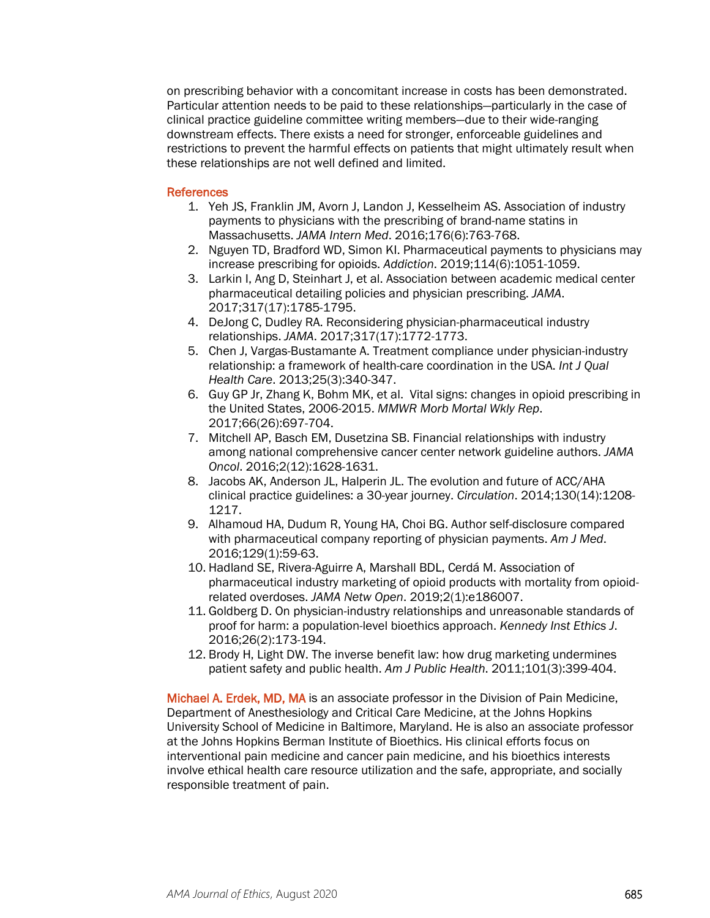on prescribing behavior with a concomitant increase in costs has been demonstrated. Particular attention needs to be paid to these relationships—particularly in the case of clinical practice guideline committee writing members—due to their wide-ranging downstream effects. There exists a need for stronger, enforceable guidelines and restrictions to prevent the harmful effects on patients that might ultimately result when these relationships are not well defined and limited.

## References

- 1. Yeh JS, Franklin JM, Avorn J, Landon J, Kesselheim AS. Association of industry payments to physicians with the prescribing of brand-name statins in Massachusetts. *JAMA Intern Med*. 2016;176(6):763-768.
- 2. Nguyen TD, Bradford WD, Simon KI. Pharmaceutical payments to physicians may increase prescribing for opioids. *Addiction*. 2019;114(6):1051-1059.
- 3. Larkin I, Ang D, Steinhart J, et al. Association between academic medical center pharmaceutical detailing policies and physician prescribing. *JAMA*. 2017;317(17):1785-1795.
- 4. DeJong C, Dudley RA. Reconsidering physician-pharmaceutical industry relationships. *JAMA*. 2017;317(17):1772-1773.
- 5. Chen J, Vargas-Bustamante A. Treatment compliance under physician-industry relationship: a framework of health-care coordination in the USA. *Int J Qual Health Care*. 2013;25(3):340-347.
- 6. Guy GP Jr, Zhang K, Bohm MK, et al. Vital signs: changes in opioid prescribing in the United States, 2006-2015. *MMWR Morb Mortal Wkly Rep*. 2017;66(26):697-704.
- 7. Mitchell AP, Basch EM, Dusetzina SB. Financial relationships with industry among national comprehensive cancer center network guideline authors. *JAMA Oncol*. 2016;2(12):1628-1631.
- 8. Jacobs AK, Anderson JL, Halperin JL. The evolution and future of ACC/AHA clinical practice guidelines: a 30-year journey. *Circulation*. 2014;130(14):1208- 1217.
- 9. Alhamoud HA, Dudum R, Young HA, Choi BG. Author self-disclosure compared with pharmaceutical company reporting of physician payments. *Am J Med*. 2016;129(1):59-63.
- 10. Hadland SE, Rivera-Aguirre A, Marshall BDL, Cerdá M. Association of pharmaceutical industry marketing of opioid products with mortality from opioidrelated overdoses. *JAMA Netw Open*. 2019;2(1):e186007.
- 11. Goldberg D. On physician-industry relationships and unreasonable standards of proof for harm: a population-level bioethics approach. *Kennedy Inst Ethics J*. 2016;26(2):173-194.
- 12. Brody H, Light DW. The inverse benefit law: how drug marketing undermines patient safety and public health. *Am J Public Health*. 2011;101(3):399-404.

Michael A. Erdek, MD, MA is an associate professor in the Division of Pain Medicine, Department of Anesthesiology and Critical Care Medicine, at the Johns Hopkins University School of Medicine in Baltimore, Maryland. He is also an associate professor at the Johns Hopkins Berman Institute of Bioethics. His clinical efforts focus on interventional pain medicine and cancer pain medicine, and his bioethics interests involve ethical health care resource utilization and the safe, appropriate, and socially responsible treatment of pain.